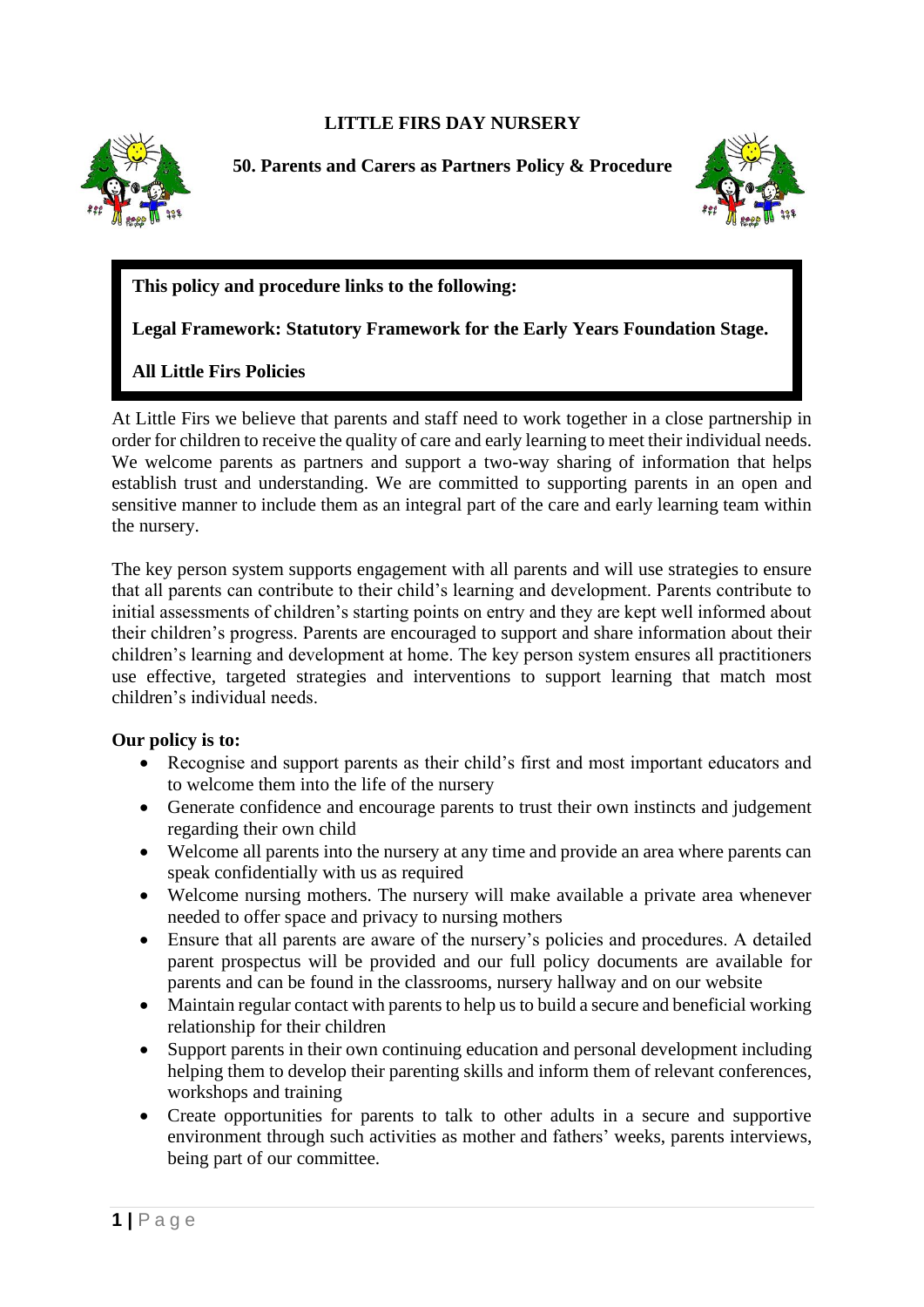## **LITTLE FIRS DAY NURSERY**



**50. Parents and Carers as Partners Policy & Procedure**



## **This policy and procedure links to the following:**

**Legal Framework: Statutory Framework for the Early Years Foundation Stage.**

**All Little Firs Policies** 

At Little Firs we believe that parents and staff need to work together in a close partnership in order for children to receive the quality of care and early learning to meet their individual needs. We welcome parents as partners and support a two-way sharing of information that helps establish trust and understanding. We are committed to supporting parents in an open and sensitive manner to include them as an integral part of the care and early learning team within the nursery.

The key person system supports engagement with all parents and will use strategies to ensure that all parents can contribute to their child's learning and development. Parents contribute to initial assessments of children's starting points on entry and they are kept well informed about their children's progress. Parents are encouraged to support and share information about their children's learning and development at home. The key person system ensures all practitioners use effective, targeted strategies and interventions to support learning that match most children's individual needs.

## **Our policy is to:**

- Recognise and support parents as their child's first and most important educators and to welcome them into the life of the nursery
- Generate confidence and encourage parents to trust their own instincts and judgement regarding their own child
- Welcome all parents into the nursery at any time and provide an area where parents can speak confidentially with us as required
- Welcome nursing mothers. The nursery will make available a private area whenever needed to offer space and privacy to nursing mothers
- Ensure that all parents are aware of the nursery's policies and procedures. A detailed parent prospectus will be provided and our full policy documents are available for parents and can be found in the classrooms, nursery hallway and on our website
- Maintain regular contact with parents to help us to build a secure and beneficial working relationship for their children
- Support parents in their own continuing education and personal development including helping them to develop their parenting skills and inform them of relevant conferences, workshops and training
- Create opportunities for parents to talk to other adults in a secure and supportive environment through such activities as mother and fathers' weeks, parents interviews, being part of our committee.